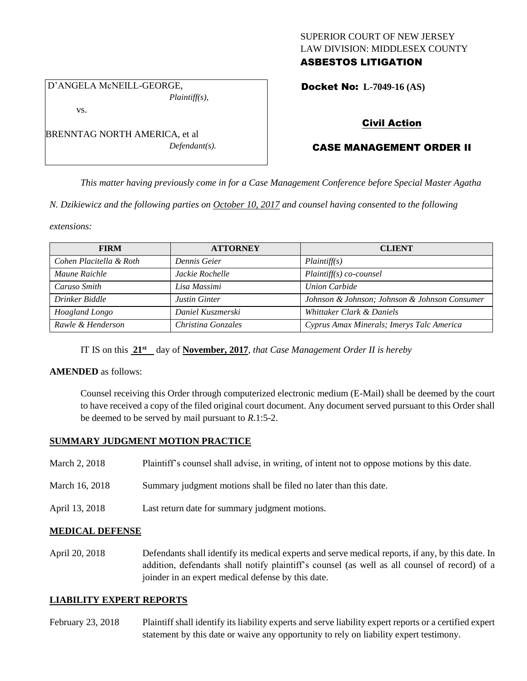# SUPERIOR COURT OF NEW JERSEY LAW DIVISION: MIDDLESEX COUNTY ASBESTOS LITIGATION

Docket No: **L-7049-16 (AS)** 

# Civil Action

# CASE MANAGEMENT ORDER II

*This matter having previously come in for a Case Management Conference before Special Master Agatha* 

*N. Dzikiewicz and the following parties on October 10, 2017 and counsel having consented to the following* 

*extensions:*

| <b>FIRM</b>             | <b>ATTORNEY</b>      | <b>CLIENT</b>                                 |
|-------------------------|----------------------|-----------------------------------------------|
| Cohen Placitella & Roth | Dennis Geier         | Plaintiff(s)                                  |
| Maune Raichle           | Jackie Rochelle      | $Plaintiff(s) co-course$                      |
| Caruso Smith            | Lisa Massimi         | <b>Union Carbide</b>                          |
| Drinker Biddle          | <b>Justin Ginter</b> | Johnson & Johnson; Johnson & Johnson Consumer |
| Hoagland Longo          | Daniel Kuszmerski    | Whittaker Clark & Daniels                     |
| Rawle & Henderson       | Christina Gonzales   | Cyprus Amax Minerals; Imerys Talc America     |

IT IS on this **21st** day of **November, 2017**, *that Case Management Order II is hereby*

#### **AMENDED** as follows:

Counsel receiving this Order through computerized electronic medium (E-Mail) shall be deemed by the court to have received a copy of the filed original court document. Any document served pursuant to this Order shall be deemed to be served by mail pursuant to *R*.1:5-2.

#### **SUMMARY JUDGMENT MOTION PRACTICE**

| March 2, 2018 | Plaintiff's counsel shall advise, in writing, of intent not to oppose motions by this date. |  |  |
|---------------|---------------------------------------------------------------------------------------------|--|--|
|               |                                                                                             |  |  |

- March 16, 2018 Summary judgment motions shall be filed no later than this date.
- April 13, 2018 Last return date for summary judgment motions.

#### **MEDICAL DEFENSE**

April 20, 2018 Defendants shall identify its medical experts and serve medical reports, if any, by this date. In addition, defendants shall notify plaintiff's counsel (as well as all counsel of record) of a joinder in an expert medical defense by this date.

#### **LIABILITY EXPERT REPORTS**

February 23, 2018 Plaintiff shall identify its liability experts and serve liability expert reports or a certified expert statement by this date or waive any opportunity to rely on liability expert testimony.

D'ANGELA McNEILL-GEORGE, *Plaintiff(s),*

vs.

BRENNTAG NORTH AMERICA, et al *Defendant(s).*